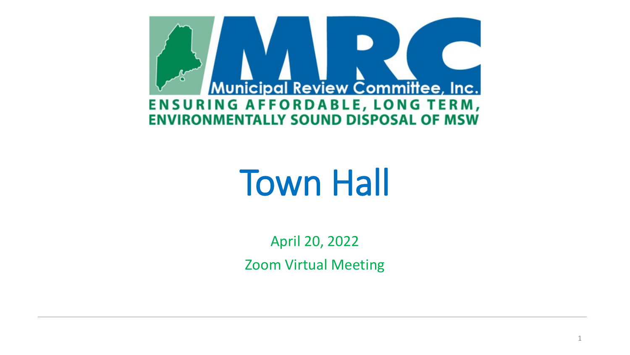

# Town Hall

April 20, 2022 Zoom Virtual Meeting

1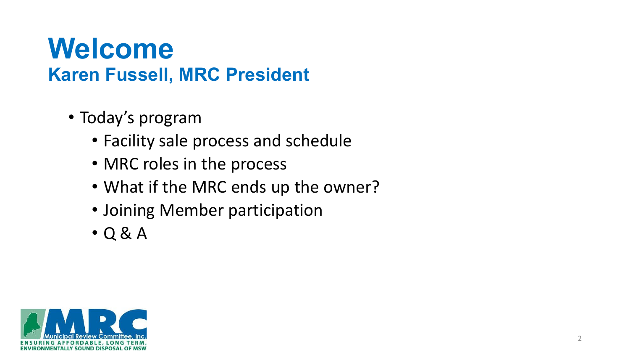#### **Welcome Karen Fussell, MRC President**

- Today's program
	- Facility sale process and schedule
	- MRC roles in the process
	- What if the MRC ends up the owner?
	- Joining Member participation
	- Q & A

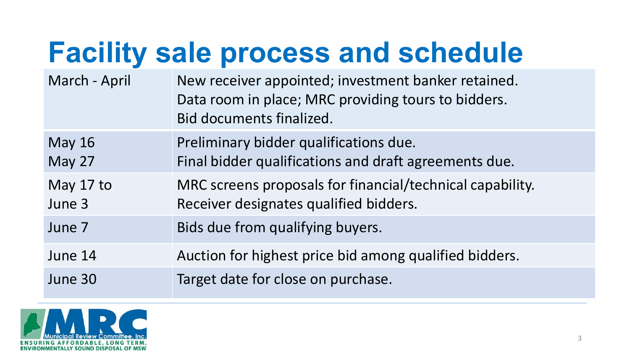## **Facility sale process and schedule**

| March - April       | New receiver appointed; investment banker retained.<br>Data room in place; MRC providing tours to bidders.<br>Bid documents finalized. |
|---------------------|----------------------------------------------------------------------------------------------------------------------------------------|
| <b>May 16</b>       | Preliminary bidder qualifications due.                                                                                                 |
| May 27              | Final bidder qualifications and draft agreements due.                                                                                  |
| May 17 to<br>June 3 | MRC screens proposals for financial/technical capability.<br>Receiver designates qualified bidders.                                    |
| June 7              | Bids due from qualifying buyers.                                                                                                       |
| June 14             | Auction for highest price bid among qualified bidders.                                                                                 |
| June 30             | Target date for close on purchase.                                                                                                     |

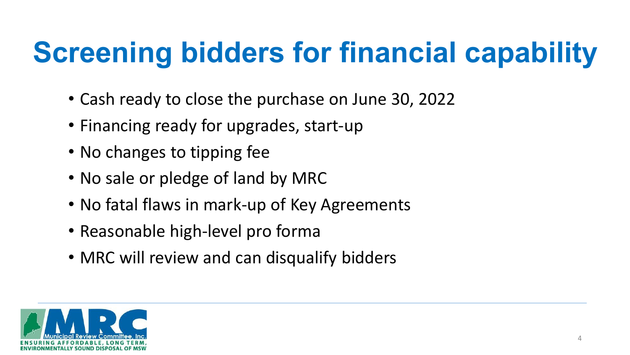## **Screening bidders for financial capability**

- Cash ready to close the purchase on June 30, 2022
- Financing ready for upgrades, start-up
- No changes to tipping fee
- No sale or pledge of land by MRC
- No fatal flaws in mark-up of Key Agreements
- Reasonable high-level pro forma
- MRC will review and can disqualify bidders

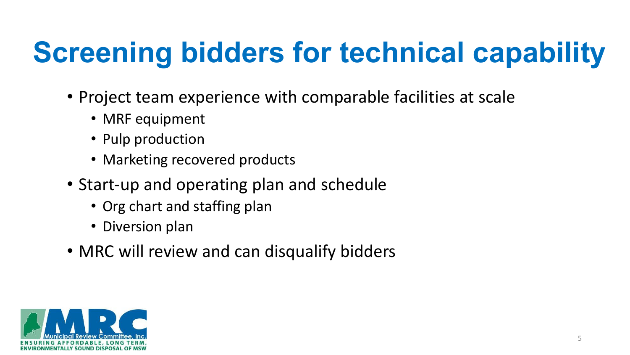## **Screening bidders for technical capability**

- Project team experience with comparable facilities at scale
	- MRF equipment
	- Pulp production
	- Marketing recovered products
- Start-up and operating plan and schedule
	- Org chart and staffing plan
	- Diversion plan
- MRC will review and can disqualify bidders

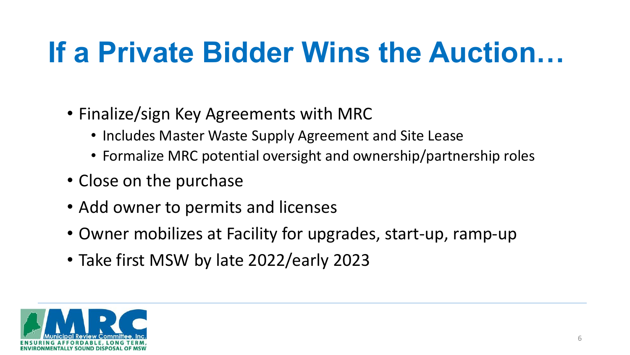### **If a Private Bidder Wins the Auction…**

- Finalize/sign Key Agreements with MRC
	- Includes Master Waste Supply Agreement and Site Lease
	- Formalize MRC potential oversight and ownership/partnership roles
- Close on the purchase
- Add owner to permits and licenses
- Owner mobilizes at Facility for upgrades, start-up, ramp-up
- Take first MSW by late 2022/early 2023

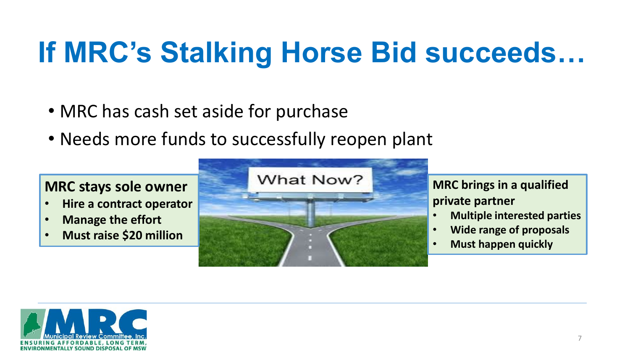#### **If MRC's Stalking Horse Bid succeeds…**

- MRC has cash set aside for purchase
- Needs more funds to successfully reopen plant

#### **MRC stays sole owner**

- **Hire a contract operator**
- **Manage the effort**
- **Must raise \$20 million**



#### **MRC brings in a qualified private partner**

- **Multiple interested parties**
- **Wide range of proposals**
- **Must happen quickly**

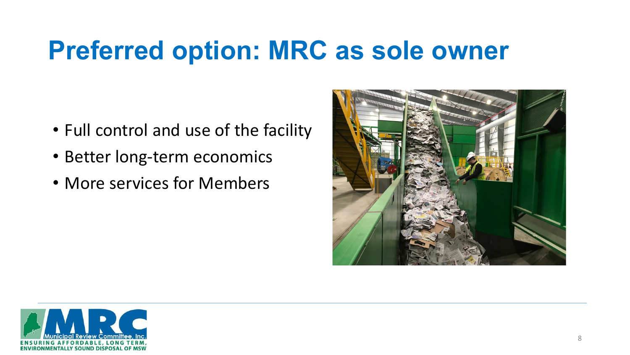#### **Preferred option: MRC as sole owner**

- Full control and use of the facility
- Better long-term economics
- More services for Members



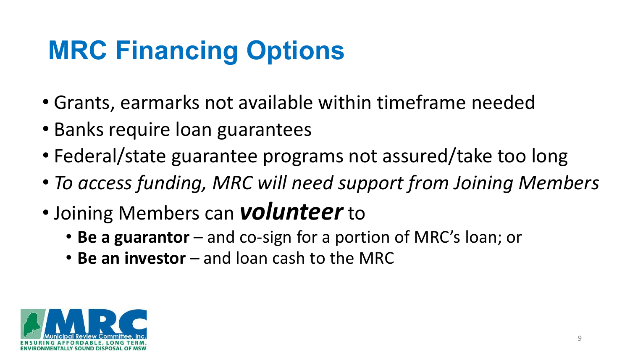#### **MRC Financing Options**

- Grants, earmarks not available within timeframe needed
- Banks require loan guarantees
- Federal/state guarantee programs not assured/take too long
- *To access funding, MRC will need support from Joining Members*
- Joining Members can *volunteer* to
	- **Be a guarantor** and co-sign for a portion of MRC's loan; or
	- **Be an investor**  and loan cash to the MRC

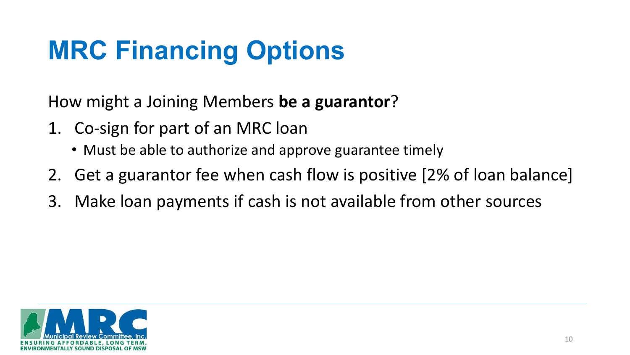#### **MRC Financing Options**

How might a Joining Members **be a guarantor**?

- 1. Co-sign for part of an MRC loan
	- Must be able to authorize and approve guarantee timely
- 2. Get a guarantor fee when cash flow is positive [2% of loan balance]
- 3. Make loan payments if cash is not available from other sources

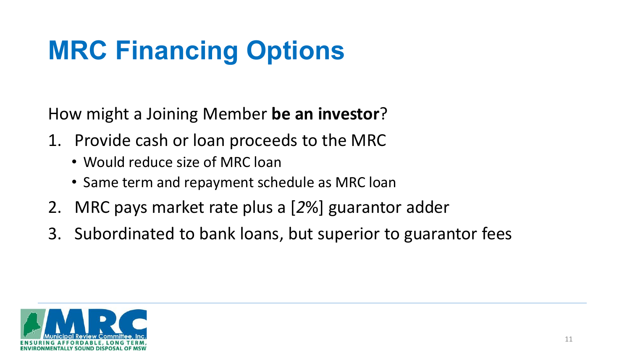#### **MRC Financing Options**

How might a Joining Member **be an investor**?

- 1. Provide cash or loan proceeds to the MRC
	- Would reduce size of MRC loan
	- Same term and repayment schedule as MRC loan
- 2. MRC pays market rate plus a [*2*%] guarantor adder
- 3. Subordinated to bank loans, but superior to guarantor fees

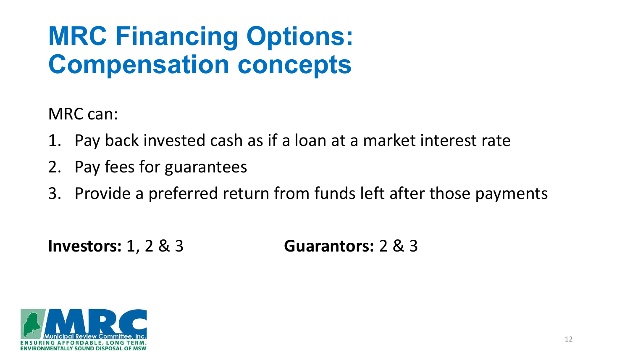#### **MRC Financing Options: Compensation concepts**

MRC can:

- 1. Pay back invested cash as if a loan at a market interest rate
- 2. Pay fees for guarantees
- 3. Provide a preferred return from funds left after those payments

**Investors:** 1, 2 & 3 **Guarantors:** 2 & 3

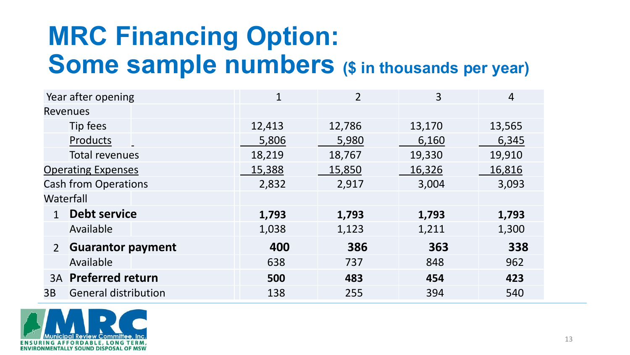#### **MRC Financing Option: Some sample numbers (\$ in thousands per year)**

| Year after opening                         | $\mathbf{1}$ | $\overline{2}$ | 3      | 4      |
|--------------------------------------------|--------------|----------------|--------|--------|
| <b>Revenues</b>                            |              |                |        |        |
| Tip fees                                   | 12,413       | 12,786         | 13,170 | 13,565 |
| Products                                   | 5,806        | 5,980          | 6,160  | 6,345  |
| Total revenues                             | 18,219       | 18,767         | 19,330 | 19,910 |
| <b>Operating Expenses</b>                  | 15,388       | 15,850         | 16,326 | 16,816 |
| <b>Cash from Operations</b>                | 2,832        | 2,917          | 3,004  | 3,093  |
| Waterfall                                  |              |                |        |        |
| <b>Debt service</b><br>$\mathbf{1}$        | 1,793        | 1,793          | 1,793  | 1,793  |
| Available                                  | 1,038        | 1,123          | 1,211  | 1,300  |
| <b>Guarantor payment</b><br>$\overline{2}$ | 400          | 386            | 363    | 338    |
| Available                                  | 638          | 737            | 848    | 962    |
| <b>3A</b> Preferred return                 | 500          | 483            | 454    | 423    |
| <b>General distribution</b><br>3B          | 138          | 255            | 394    | 540    |

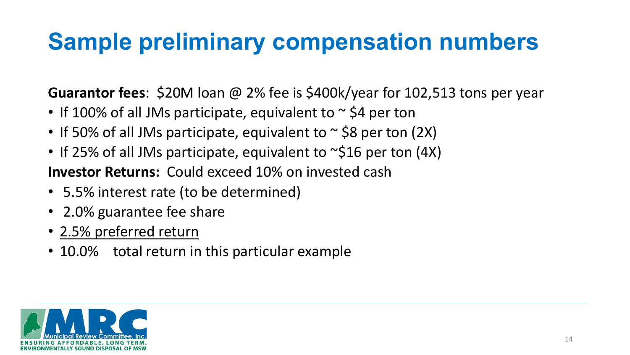#### **Sample preliminary compensation numbers**

**Guarantor fees**: \$20M loan @ 2% fee is \$400k/year for 102,513 tons per year

- If 100% of all JMs participate, equivalent to  $\sim$  \$4 per ton
- If 50% of all JMs participate, equivalent to  $\sim$  \$8 per ton (2X)
- If 25% of all JMs participate, equivalent to ~\$16 per ton (4X) **Investor Returns:** Could exceed 10% on invested cash
- 5.5% interest rate (to be determined)
- 2.0% guarantee fee share
- 2.5% preferred return
- 10.0% total return in this particular example

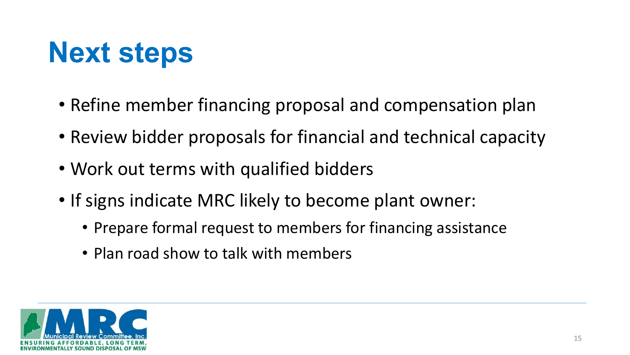## **Next steps**

- Refine member financing proposal and compensation plan
- Review bidder proposals for financial and technical capacity
- Work out terms with qualified bidders
- If signs indicate MRC likely to become plant owner:
	- Prepare formal request to members for financing assistance
	- Plan road show to talk with members